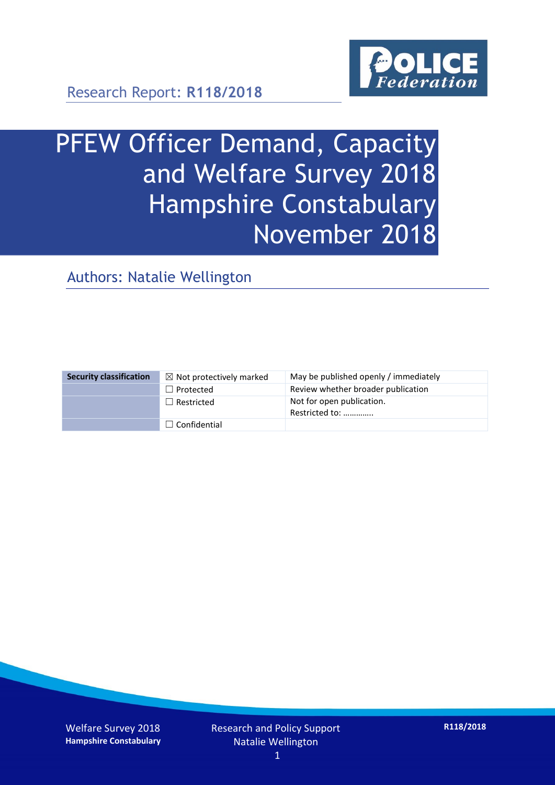

Research Report: **R118/2018**

# PFEW Officer Demand, Capacity and Welfare Survey 2018 Hampshire Constabulary November 2018

Authors: Natalie Wellington

| <b>Security classification</b> | $\boxtimes$ Not protectively marked | May be published openly / immediately       |
|--------------------------------|-------------------------------------|---------------------------------------------|
|                                | $\Box$ Protected                    | Review whether broader publication          |
|                                | $\Box$ Restricted                   | Not for open publication.<br>Restricted to: |
|                                | $\Box$ Confidential                 |                                             |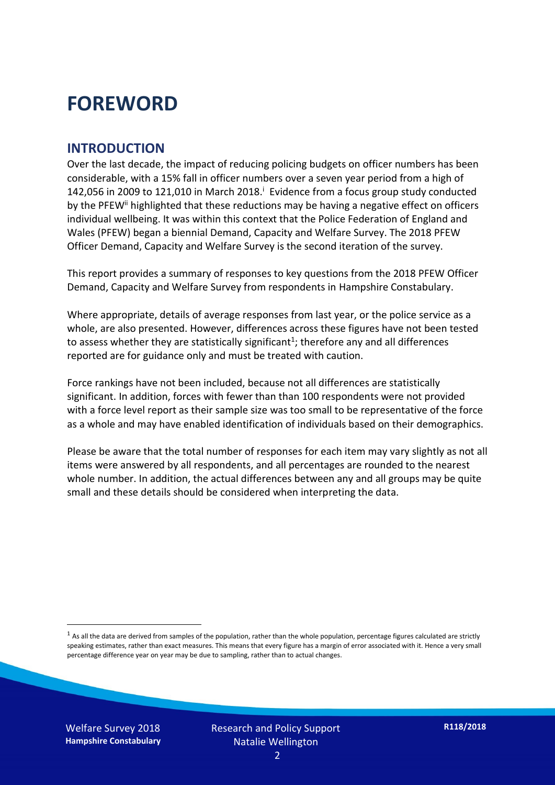### **FOREWORD**

#### **INTRODUCTION**

Over the last decade, the impact of reducing policing budgets on officer numbers has been considerable, with a 15% fall in officer numbers over a seven year period from a high of 142,056 in 2009 to 121,010 in March 2018. $^{\mathrm{i}}$  Evidence from a focus group study conducted by the PFEW<sup>ii</sup> highlighted that these reductions may be having a negative effect on officers individual wellbeing. It was within this context that the Police Federation of England and Wales (PFEW) began a biennial Demand, Capacity and Welfare Survey. The 2018 PFEW Officer Demand, Capacity and Welfare Survey is the second iteration of the survey.

This report provides a summary of responses to key questions from the 2018 PFEW Officer Demand, Capacity and Welfare Survey from respondents in Hampshire Constabulary.

Where appropriate, details of average responses from last year, or the police service as a whole, are also presented. However, differences across these figures have not been tested to assess whether they are statistically significant<sup>1</sup>; therefore any and all differences reported are for guidance only and must be treated with caution.

Force rankings have not been included, because not all differences are statistically significant. In addition, forces with fewer than than 100 respondents were not provided with a force level report as their sample size was too small to be representative of the force as a whole and may have enabled identification of individuals based on their demographics.

Please be aware that the total number of responses for each item may vary slightly as not all items were answered by all respondents, and all percentages are rounded to the nearest whole number. In addition, the actual differences between any and all groups may be quite small and these details should be considered when interpreting the data.

 $<sup>1</sup>$  As all the data are derived from samples of the population, rather than the whole population, percentage figures calculated are strictly</sup> speaking estimates, rather than exact measures. This means that every figure has a margin of error associated with it. Hence a very small percentage difference year on year may be due to sampling, rather than to actual changes.

Welfare Survey 2018 **Hampshire Constabulary**

-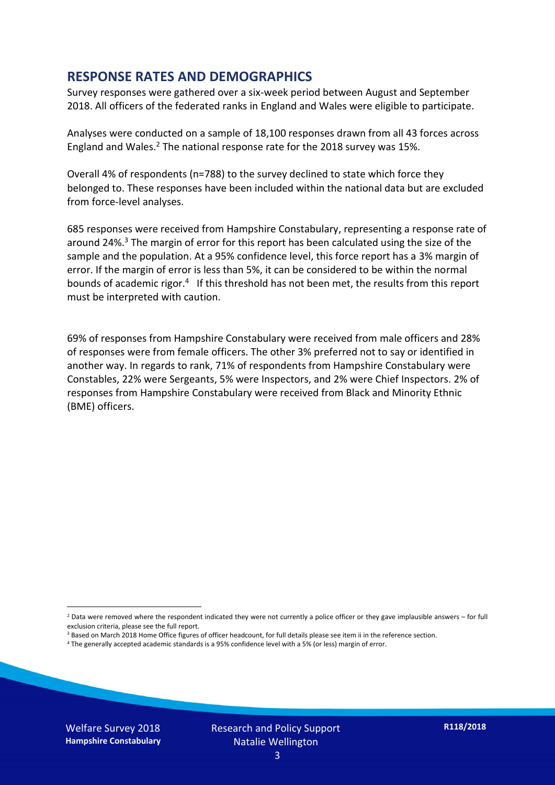#### **RESPONSE RATES AND DEMOGRAPHICS**

Survey responses were gathered over a six-week period between August and September 2018. All officers of the federated ranks in England and Wales were eligible to participate.

Analyses were conducted on a sample of 18,100 responses drawn from all 43 forces across England and Wales.<sup>2</sup> The national response rate for the 2018 survey was 15%.

Overall 4% of respondents (n=788) to the survey declined to state which force they belonged to. These responses have been included within the national data but are excluded from force-level analyses.

685 responses were received from Hampshire Constabulary, representing a response rate of around 24%. <sup>3</sup> The margin of error for this report has been calculated using the size of the sample and the population. At a 95% confidence level, this force report has a 3% margin of error. If the margin of error is less than 5%, it can be considered to be within the normal bounds of academic rigor.<sup>4</sup> If this threshold has not been met, the results from this report must be interpreted with caution.

69% of responses from Hampshire Constabulary were received from male officers and 28% of responses were from female officers. The other 3% preferred not to say or identified in another way. In regards to rank, 71% of respondents from Hampshire Constabulary were Constables, 22% were Sergeants, 5% were Inspectors, and 2% were Chief Inspectors. 2% of responses from Hampshire Constabulary were received from Black and Minority Ethnic (BME) officers.

-

 $2$  Data were removed where the respondent indicated they were not currently a police officer or they gave implausible answers – for full exclusion criteria, please see the full report.

<sup>3</sup> Based on March 2018 Home Office figures of officer headcount, for full details please see item ii in the reference section.

<sup>4</sup> The generally accepted academic standards is a 95% confidence level with a 5% (or less) margin of error.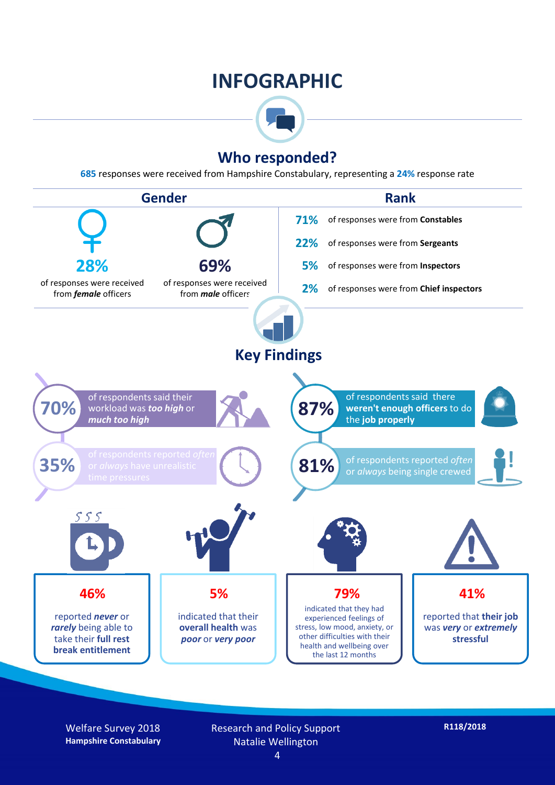### **INFOGRAPHIC**



#### **Who responded?**

**685** responses were received from Hampshire Constabulary, representing a **24%** response rate



Welfare Survey 2018 **Hampshire Constabulary** Research and Policy Support Natalie Wellington

4

**R118/2018**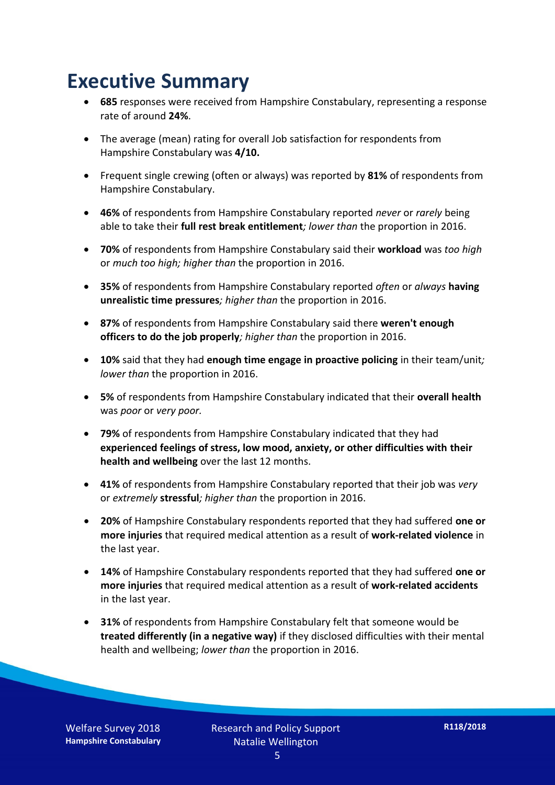### **Executive Summary**

- **685** responses were received from Hampshire Constabulary, representing a response rate of around **24%**.
- The average (mean) rating for overall Job satisfaction for respondents from Hampshire Constabulary was **4/10.**
- Frequent single crewing (often or always) was reported by **81%** of respondents from Hampshire Constabulary.
- **46%** of respondents from Hampshire Constabulary reported *never* or *rarely* being able to take their **full rest break entitlement***; lower than* the proportion in 2016.
- **70%** of respondents from Hampshire Constabulary said their **workload** was *too high* or *much too high; higher than* the proportion in 2016.
- **35%** of respondents from Hampshire Constabulary reported *often* or *always* **having unrealistic time pressures***; higher than* the proportion in 2016.
- **87%** of respondents from Hampshire Constabulary said there **weren't enough officers to do the job properly***; higher than* the proportion in 2016.
- **10%** said that they had **enough time engage in proactive policing** in their team/unit*; lower than* the proportion in 2016.
- **5%** of respondents from Hampshire Constabulary indicated that their **overall health** was *poor* or *very poor.*
- **79%** of respondents from Hampshire Constabulary indicated that they had **experienced feelings of stress, low mood, anxiety, or other difficulties with their health and wellbeing** over the last 12 months.
- **41%** of respondents from Hampshire Constabulary reported that their job was *very*  or *extremely* **stressful***; higher than* the proportion in 2016.
- **20%** of Hampshire Constabulary respondents reported that they had suffered **one or more injuries** that required medical attention as a result of **work-related violence** in the last year.
- **14%** of Hampshire Constabulary respondents reported that they had suffered **one or more injuries** that required medical attention as a result of **work-related accidents**  in the last year.
- **31%** of respondents from Hampshire Constabulary felt that someone would be **treated differently (in a negative way)** if they disclosed difficulties with their mental health and wellbeing; *lower than* the proportion in 2016.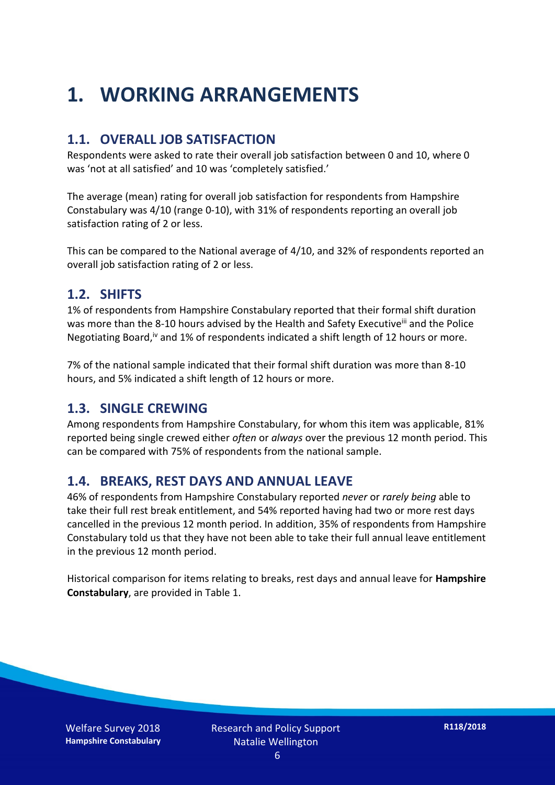## **1. WORKING ARRANGEMENTS**

#### **1.1. OVERALL JOB SATISFACTION**

Respondents were asked to rate their overall job satisfaction between 0 and 10, where 0 was 'not at all satisfied' and 10 was 'completely satisfied.'

The average (mean) rating for overall job satisfaction for respondents from Hampshire Constabulary was 4/10 (range 0-10), with 31% of respondents reporting an overall job satisfaction rating of 2 or less.

This can be compared to the National average of 4/10, and 32% of respondents reported an overall job satisfaction rating of 2 or less.

#### **1.2. SHIFTS**

1% of respondents from Hampshire Constabulary reported that their formal shift duration was more than the 8-10 hours advised by the Health and Safety Executive<sup>iii</sup> and the Police Negotiating Board,<sup>iv</sup> and 1% of respondents indicated a shift length of 12 hours or more.

7% of the national sample indicated that their formal shift duration was more than 8-10 hours, and 5% indicated a shift length of 12 hours or more.

#### **1.3. SINGLE CREWING**

Among respondents from Hampshire Constabulary, for whom this item was applicable, 81% reported being single crewed either *often* or *always* over the previous 12 month period. This can be compared with 75% of respondents from the national sample.

#### **1.4. BREAKS, REST DAYS AND ANNUAL LEAVE**

46% of respondents from Hampshire Constabulary reported *never* or *rarely being* able to take their full rest break entitlement, and 54% reported having had two or more rest days cancelled in the previous 12 month period. In addition, 35% of respondents from Hampshire Constabulary told us that they have not been able to take their full annual leave entitlement in the previous 12 month period.

Historical comparison for items relating to breaks, rest days and annual leave for **Hampshire Constabulary**, are provided in Table 1.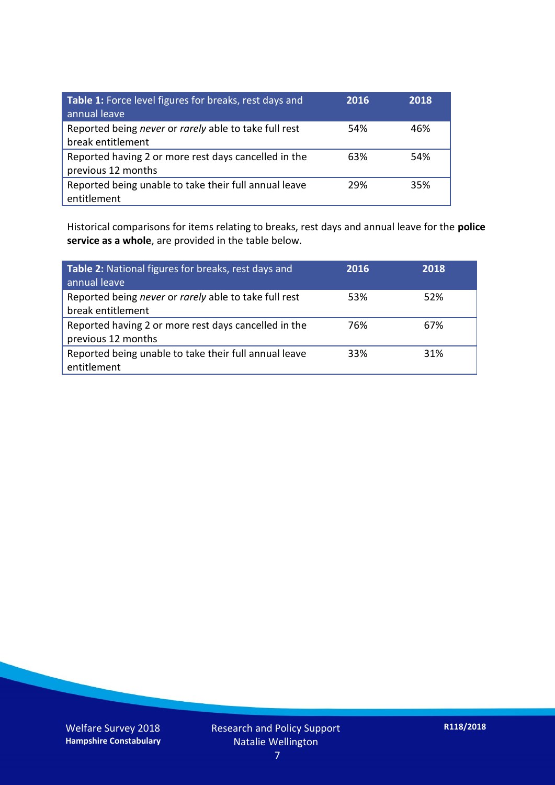| Table 1: Force level figures for breaks, rest days and<br>annual leave     | 2016 | 2018 |
|----------------------------------------------------------------------------|------|------|
| Reported being never or rarely able to take full rest<br>break entitlement | 54%  | 46%  |
| Reported having 2 or more rest days cancelled in the<br>previous 12 months | 63%  | 54%  |
| Reported being unable to take their full annual leave<br>entitlement       | 29%  | 35%  |

Historical comparisons for items relating to breaks, rest days and annual leave for the **police service as a whole**, are provided in the table below.

| Table 2: National figures for breaks, rest days and<br>annual leave        | 2016 | 2018 |
|----------------------------------------------------------------------------|------|------|
| Reported being never or rarely able to take full rest<br>break entitlement | 53%  | 52%  |
| Reported having 2 or more rest days cancelled in the<br>previous 12 months | 76%  | 67%  |
| Reported being unable to take their full annual leave<br>entitlement       | 33%  | 31%  |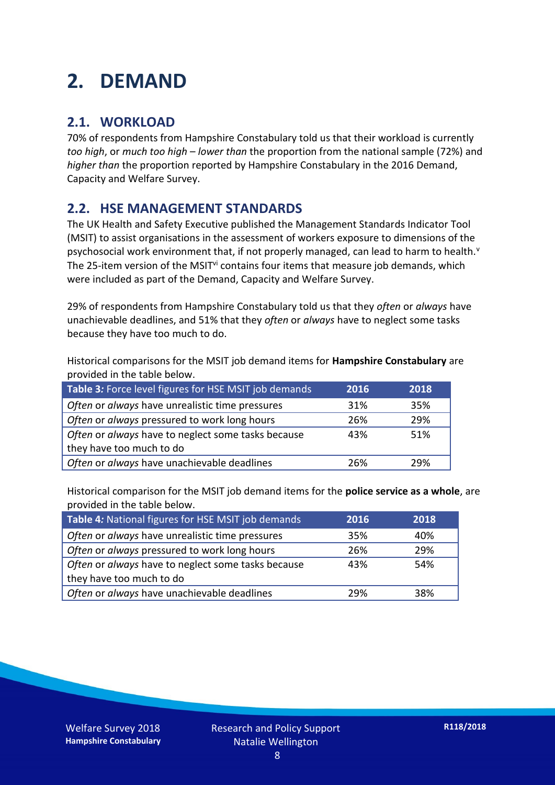## **2. DEMAND**

#### **2.1. WORKLOAD**

70% of respondents from Hampshire Constabulary told us that their workload is currently *too high*, or *much too high* – *lower than* the proportion from the national sample (72%) and *higher than* the proportion reported by Hampshire Constabulary in the 2016 Demand, Capacity and Welfare Survey.

#### **2.2. HSE MANAGEMENT STANDARDS**

The UK Health and Safety Executive published the Management Standards Indicator Tool (MSIT) to assist organisations in the assessment of workers exposure to dimensions of the psychosocial work environment that, if not properly managed, can lead to harm to health.<sup>v</sup> The 25-item version of the MSIT<sup>vi</sup> contains four items that measure job demands, which were included as part of the Demand, Capacity and Welfare Survey.

29% of respondents from Hampshire Constabulary told us that they *often* or *always* have unachievable deadlines, and 51% that they *often* or *always* have to neglect some tasks because they have too much to do.

Historical comparisons for the MSIT job demand items for **Hampshire Constabulary** are provided in the table below.

| Table 3: Force level figures for HSE MSIT job demands | 2016 | 2018 |
|-------------------------------------------------------|------|------|
| Often or always have unrealistic time pressures       | 31%  | 35%  |
| Often or always pressured to work long hours          | 26%  | 29%  |
| Often or always have to neglect some tasks because    | 43%  | 51%  |
| they have too much to do                              |      |      |
| Often or always have unachievable deadlines           | 26%  | 29%  |

Historical comparison for the MSIT job demand items for the **police service as a whole**, are provided in the table below.

| Table 4: National figures for HSE MSIT job demands | 2016 | 2018 |
|----------------------------------------------------|------|------|
| Often or always have unrealistic time pressures    | 35%  | 40%  |
| Often or always pressured to work long hours       | 26%  | 29%  |
| Often or always have to neglect some tasks because | 43%  | 54%  |
| they have too much to do                           |      |      |
| Often or always have unachievable deadlines        | 29%  | 38%  |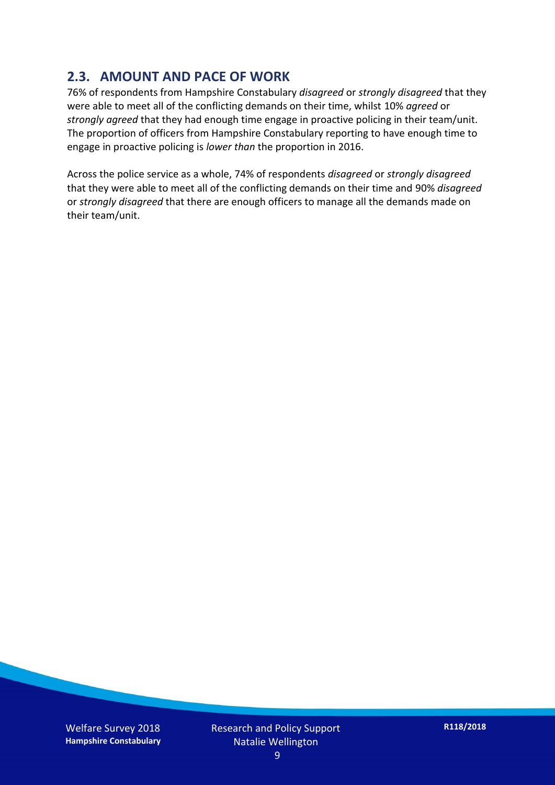#### **2.3. AMOUNT AND PACE OF WORK**

76% of respondents from Hampshire Constabulary *disagreed* or *strongly disagreed* that they were able to meet all of the conflicting demands on their time, whilst 10% *agreed* or *strongly agreed* that they had enough time engage in proactive policing in their team/unit. The proportion of officers from Hampshire Constabulary reporting to have enough time to engage in proactive policing is *lower than* the proportion in 2016.

Across the police service as a whole, 74% of respondents *disagreed* or *strongly disagreed* that they were able to meet all of the conflicting demands on their time and 90% *disagreed* or *strongly disagreed* that there are enough officers to manage all the demands made on their team/unit.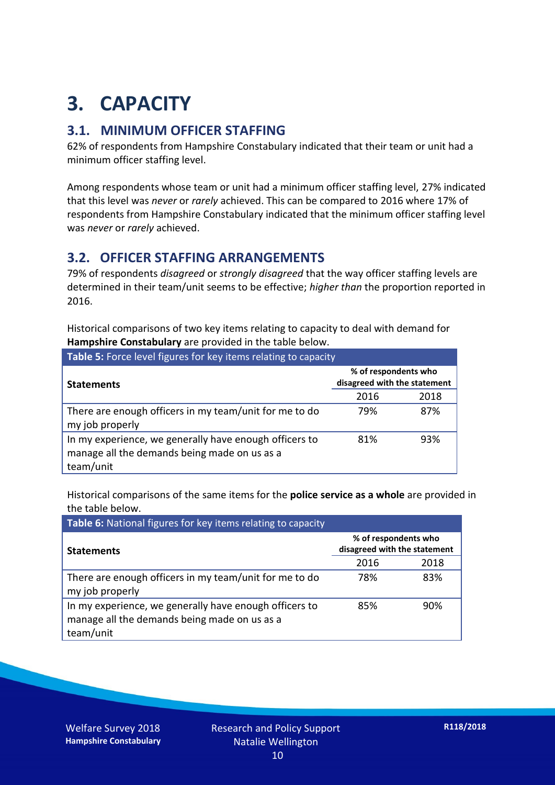## **3. CAPACITY**

#### **3.1. MINIMUM OFFICER STAFFING**

62% of respondents from Hampshire Constabulary indicated that their team or unit had a minimum officer staffing level.

Among respondents whose team or unit had a minimum officer staffing level, 27% indicated that this level was *never* or *rarely* achieved. This can be compared to 2016 where 17% of respondents from Hampshire Constabulary indicated that the minimum officer staffing level was *never* or *rarely* achieved.

#### **3.2. OFFICER STAFFING ARRANGEMENTS**

79% of respondents *disagreed* or *strongly disagreed* that the way officer staffing levels are determined in their team/unit seems to be effective; *higher than* the proportion reported in 2016.

Historical comparisons of two key items relating to capacity to deal with demand for **Hampshire Constabulary** are provided in the table below.

| Table 5: Force level figures for key items relating to capacity                                                     |                                                      |      |  |
|---------------------------------------------------------------------------------------------------------------------|------------------------------------------------------|------|--|
| <b>Statements</b>                                                                                                   | % of respondents who<br>disagreed with the statement |      |  |
|                                                                                                                     | 2016                                                 | 2018 |  |
| There are enough officers in my team/unit for me to do<br>my job properly                                           | 79%                                                  | 87%  |  |
| In my experience, we generally have enough officers to<br>manage all the demands being made on us as a<br>team/unit | 81%                                                  | 93%  |  |

Historical comparisons of the same items for the **police service as a whole** are provided in the table below.

| Table 6: National figures for key items relating to capacity                                                        |                                                      |      |  |  |
|---------------------------------------------------------------------------------------------------------------------|------------------------------------------------------|------|--|--|
| <b>Statements</b>                                                                                                   | % of respondents who<br>disagreed with the statement |      |  |  |
|                                                                                                                     | 2016                                                 | 2018 |  |  |
| There are enough officers in my team/unit for me to do<br>my job properly                                           | 78%                                                  | 83%  |  |  |
| In my experience, we generally have enough officers to<br>manage all the demands being made on us as a<br>team/unit | 85%                                                  | 90%  |  |  |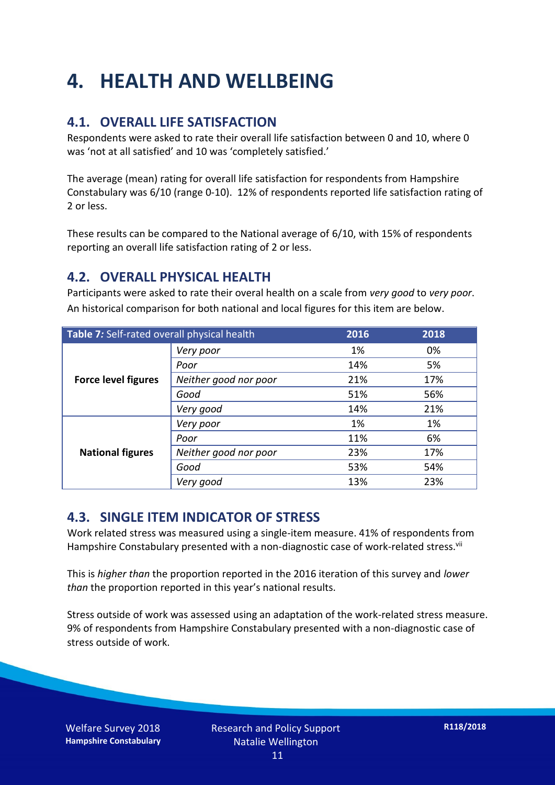## **4. HEALTH AND WELLBEING**

#### **4.1. OVERALL LIFE SATISFACTION**

Respondents were asked to rate their overall life satisfaction between 0 and 10, where 0 was 'not at all satisfied' and 10 was 'completely satisfied.'

The average (mean) rating for overall life satisfaction for respondents from Hampshire Constabulary was 6/10 (range 0-10). 12% of respondents reported life satisfaction rating of 2 or less.

These results can be compared to the National average of 6/10, with 15% of respondents reporting an overall life satisfaction rating of 2 or less.

#### **4.2. OVERALL PHYSICAL HEALTH**

Participants were asked to rate their overal health on a scale from *very good* to *very poor*. An historical comparison for both national and local figures for this item are below.

| Table 7: Self-rated overall physical health |                       | 2016 | 2018 |
|---------------------------------------------|-----------------------|------|------|
| <b>Force level figures</b>                  | Very poor             | 1%   | 0%   |
|                                             | Poor                  | 14%  | 5%   |
|                                             | Neither good nor poor | 21%  | 17%  |
|                                             | Good                  | 51%  | 56%  |
|                                             | Very good             | 14%  | 21%  |
| <b>National figures</b>                     | Very poor             | 1%   | 1%   |
|                                             | Poor                  | 11%  | 6%   |
|                                             | Neither good nor poor | 23%  | 17%  |
|                                             | Good                  | 53%  | 54%  |
|                                             | Very good             | 13%  | 23%  |

#### **4.3. SINGLE ITEM INDICATOR OF STRESS**

Work related stress was measured using a single-item measure. 41% of respondents from Hampshire Constabulary presented with a non-diagnostic case of work-related stress.<sup>vii</sup>

This is *higher than* the proportion reported in the 2016 iteration of this survey and *lower than* the proportion reported in this year's national results.

Stress outside of work was assessed using an adaptation of the work-related stress measure. 9% of respondents from Hampshire Constabulary presented with a non-diagnostic case of stress outside of work.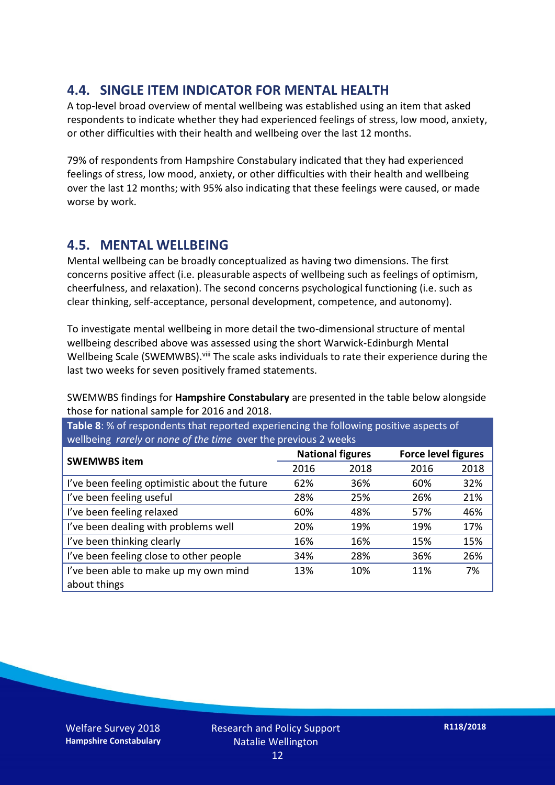#### **4.4. SINGLE ITEM INDICATOR FOR MENTAL HEALTH**

A top-level broad overview of mental wellbeing was established using an item that asked respondents to indicate whether they had experienced feelings of stress, low mood, anxiety, or other difficulties with their health and wellbeing over the last 12 months.

79% of respondents from Hampshire Constabulary indicated that they had experienced feelings of stress, low mood, anxiety, or other difficulties with their health and wellbeing over the last 12 months; with 95% also indicating that these feelings were caused, or made worse by work.

#### **4.5. MENTAL WELLBEING**

Mental wellbeing can be broadly conceptualized as having two dimensions. The first concerns positive affect (i.e. pleasurable aspects of wellbeing such as feelings of optimism, cheerfulness, and relaxation). The second concerns psychological functioning (i.e. such as clear thinking, self-acceptance, personal development, competence, and autonomy).

To investigate mental wellbeing in more detail the two-dimensional structure of mental wellbeing described above was assessed using the short Warwick-Edinburgh Mental Wellbeing Scale (SWEMWBS). viii The scale asks individuals to rate their experience during the last two weeks for seven positively framed statements.

SWEMWBS findings for **Hampshire Constabulary** are presented in the table below alongside those for national sample for 2016 and 2018.

**Table 8**: % of respondents that reported experiencing the following positive aspects of wellbeing *rarely* or *none of the time* over the previous 2 weeks

|                                               | <b>National figures</b> |      | <b>Force level figures</b> |      |
|-----------------------------------------------|-------------------------|------|----------------------------|------|
| <b>SWEMWBS item</b>                           | 2016                    | 2018 | 2016                       | 2018 |
| I've been feeling optimistic about the future | 62%                     | 36%  | 60%                        | 32%  |
| I've been feeling useful                      | 28%                     | 25%  | 26%                        | 21%  |
| I've been feeling relaxed                     | 60%                     | 48%  | 57%                        | 46%  |
| I've been dealing with problems well          | 20%                     | 19%  | 19%                        | 17%  |
| I've been thinking clearly                    | 16%                     | 16%  | 15%                        | 15%  |
| I've been feeling close to other people       | 34%                     | 28%  | 36%                        | 26%  |
| I've been able to make up my own mind         | 13%                     | 10%  | 11%                        | 7%   |
| about things                                  |                         |      |                            |      |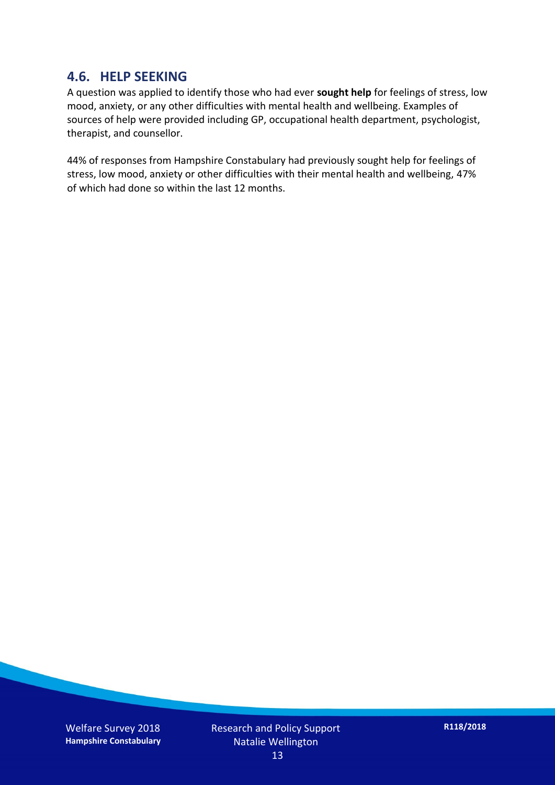#### **4.6. HELP SEEKING**

A question was applied to identify those who had ever **sought help** for feelings of stress, low mood, anxiety, or any other difficulties with mental health and wellbeing. Examples of sources of help were provided including GP, occupational health department, psychologist, therapist, and counsellor.

44% of responses from Hampshire Constabulary had previously sought help for feelings of stress, low mood, anxiety or other difficulties with their mental health and wellbeing, 47% of which had done so within the last 12 months.

Welfare Survey 2018 **Hampshire Constabulary** Research and Policy Support Natalie Wellington 13

**R118/2018**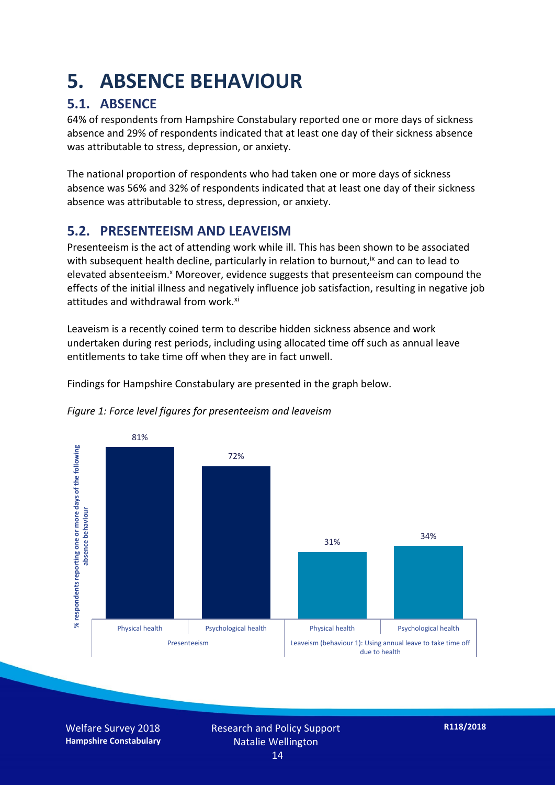### **5. ABSENCE BEHAVIOUR**

#### **5.1. ABSENCE**

64% of respondents from Hampshire Constabulary reported one or more days of sickness absence and 29% of respondents indicated that at least one day of their sickness absence was attributable to stress, depression, or anxiety.

The national proportion of respondents who had taken one or more days of sickness absence was 56% and 32% of respondents indicated that at least one day of their sickness absence was attributable to stress, depression, or anxiety.

#### **5.2. PRESENTEEISM AND LEAVEISM**

Presenteeism is the act of attending work while ill. This has been shown to be associated with subsequent health decline, particularly in relation to burnout,  $\alpha$  and can to lead to elevated absenteeism.<sup>x</sup> Moreover, evidence suggests that presenteeism can compound the effects of the initial illness and negatively influence job satisfaction, resulting in negative job attitudes and withdrawal from work.<sup>xi</sup>

Leaveism is a recently coined term to describe hidden sickness absence and work undertaken during rest periods, including using allocated time off such as annual leave entitlements to take time off when they are in fact unwell.

Findings for Hampshire Constabulary are presented in the graph below.



*Figure 1: Force level figures for presenteeism and leaveism*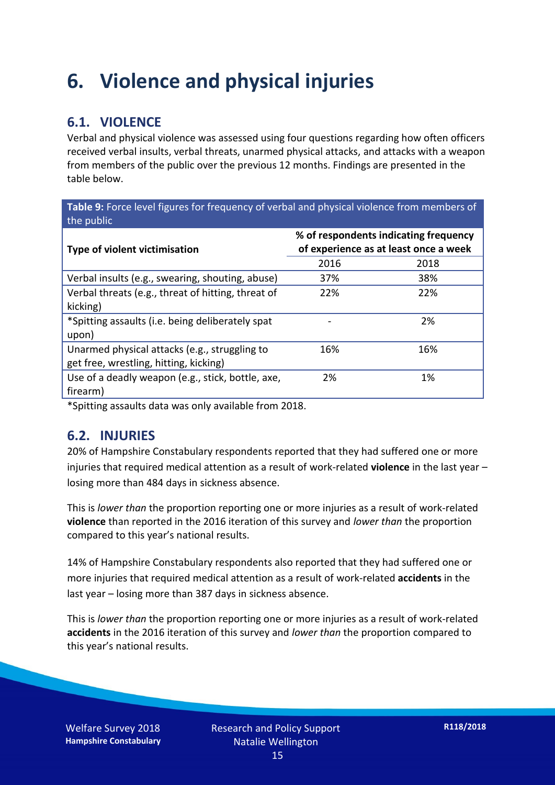### **6. Violence and physical injuries**

#### **6.1. VIOLENCE**

Verbal and physical violence was assessed using four questions regarding how often officers received verbal insults, verbal threats, unarmed physical attacks, and attacks with a weapon from members of the public over the previous 12 months. Findings are presented in the table below.

**Table 9:** Force level figures for frequency of verbal and physical violence from members of the public

| Type of violent victimisation                      | % of respondents indicating frequency<br>of experience as at least once a week |      |  |
|----------------------------------------------------|--------------------------------------------------------------------------------|------|--|
|                                                    | 2016                                                                           | 2018 |  |
| Verbal insults (e.g., swearing, shouting, abuse)   | 37%                                                                            | 38%  |  |
| Verbal threats (e.g., threat of hitting, threat of | 22%                                                                            | 22%  |  |
| kicking)                                           |                                                                                |      |  |
| *Spitting assaults (i.e. being deliberately spat   |                                                                                | 2%   |  |
| upon)                                              |                                                                                |      |  |
| Unarmed physical attacks (e.g., struggling to      | 16%                                                                            | 16%  |  |
| get free, wrestling, hitting, kicking)             |                                                                                |      |  |
| Use of a deadly weapon (e.g., stick, bottle, axe,  | 2%                                                                             | 1%   |  |
| firearm)                                           |                                                                                |      |  |

\*Spitting assaults data was only available from 2018.

#### **6.2. INJURIES**

20% of Hampshire Constabulary respondents reported that they had suffered one or more injuries that required medical attention as a result of work-related **violence** in the last year – losing more than 484 days in sickness absence.

This is *lower than* the proportion reporting one or more injuries as a result of work-related **violence** than reported in the 2016 iteration of this survey and *lower than* the proportion compared to this year's national results.

14% of Hampshire Constabulary respondents also reported that they had suffered one or more injuries that required medical attention as a result of work-related **accidents** in the last year – losing more than 387 days in sickness absence.

This is *lower than* the proportion reporting one or more injuries as a result of work-related **accidents** in the 2016 iteration of this survey and *lower than* the proportion compared to this year's national results.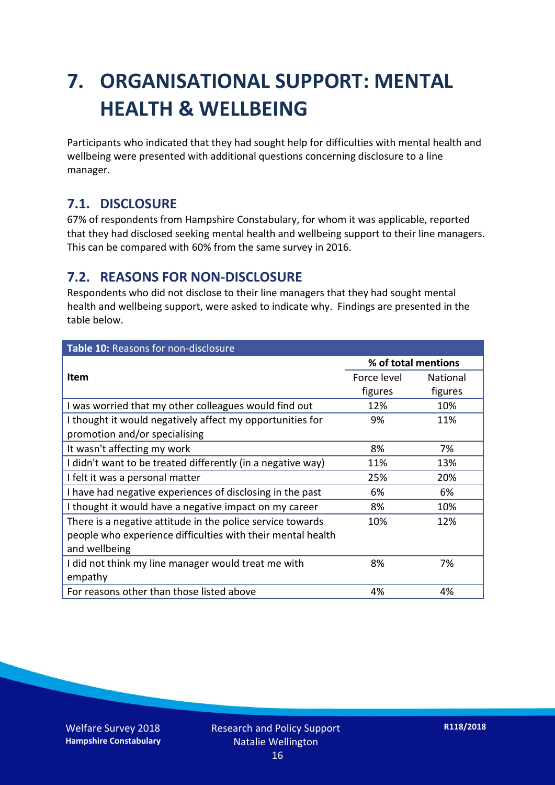## **7. ORGANISATIONAL SUPPORT: MENTAL HEALTH & WELLBEING**

Participants who indicated that they had sought help for difficulties with mental health and wellbeing were presented with additional questions concerning disclosure to a line manager.

#### **7.1. DISCLOSURE**

67% of respondents from Hampshire Constabulary, for whom it was applicable, reported that they had disclosed seeking mental health and wellbeing support to their line managers. This can be compared with 60% from the same survey in 2016.

#### **7.2. REASONS FOR NON-DISCLOSURE**

Respondents who did not disclose to their line managers that they had sought mental health and wellbeing support, were asked to indicate why. Findings are presented in the table below.

| Table 10: Reasons for non-disclosure                        |                     |                 |  |
|-------------------------------------------------------------|---------------------|-----------------|--|
|                                                             | % of total mentions |                 |  |
| <b>Item</b>                                                 | Force level         | <b>National</b> |  |
|                                                             | figures             | figures         |  |
| I was worried that my other colleagues would find out       | 12%                 | 10%             |  |
| I thought it would negatively affect my opportunities for   | 9%                  | 11%             |  |
| promotion and/or specialising                               |                     |                 |  |
| It wasn't affecting my work                                 | 8%                  | 7%              |  |
| I didn't want to be treated differently (in a negative way) | 11%                 | 13%             |  |
| I felt it was a personal matter                             | 25%                 | 20%             |  |
| I have had negative experiences of disclosing in the past   | 6%                  | 6%              |  |
| I thought it would have a negative impact on my career      | 8%                  | 10%             |  |
| There is a negative attitude in the police service towards  | 10%                 | 12%             |  |
| people who experience difficulties with their mental health |                     |                 |  |
| and wellbeing                                               |                     |                 |  |
| I did not think my line manager would treat me with         | 8%                  | 7%              |  |
| empathy                                                     |                     |                 |  |
| For reasons other than those listed above                   | 4%                  | 4%              |  |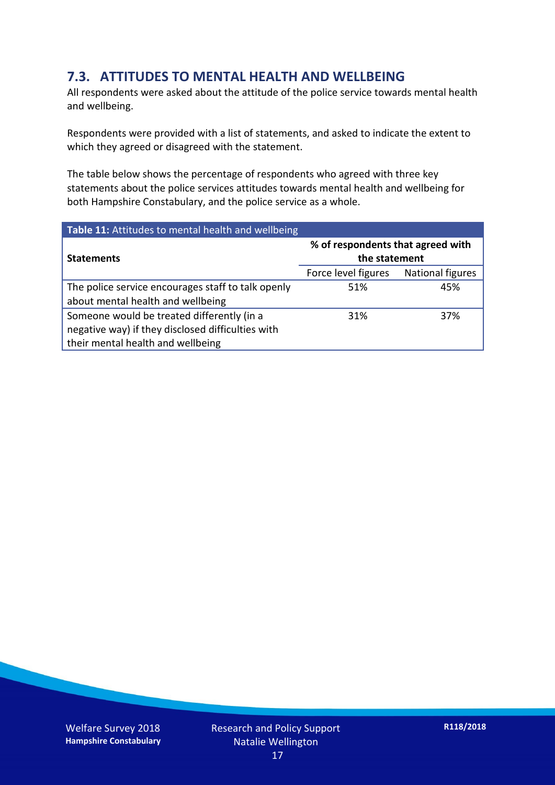#### **7.3. ATTITUDES TO MENTAL HEALTH AND WELLBEING**

All respondents were asked about the attitude of the police service towards mental health and wellbeing.

Respondents were provided with a list of statements, and asked to indicate the extent to which they agreed or disagreed with the statement.

The table below shows the percentage of respondents who agreed with three key statements about the police services attitudes towards mental health and wellbeing for both Hampshire Constabulary, and the police service as a whole.

| Table 11: Attitudes to mental health and wellbeing |                                                    |                  |  |
|----------------------------------------------------|----------------------------------------------------|------------------|--|
| <b>Statements</b>                                  | % of respondents that agreed with<br>the statement |                  |  |
|                                                    | Force level figures                                | National figures |  |
| The police service encourages staff to talk openly | 51%                                                | 45%              |  |
| about mental health and wellbeing                  |                                                    |                  |  |
| Someone would be treated differently (in a         | 31%                                                | 37%              |  |
| negative way) if they disclosed difficulties with  |                                                    |                  |  |
| their mental health and wellbeing                  |                                                    |                  |  |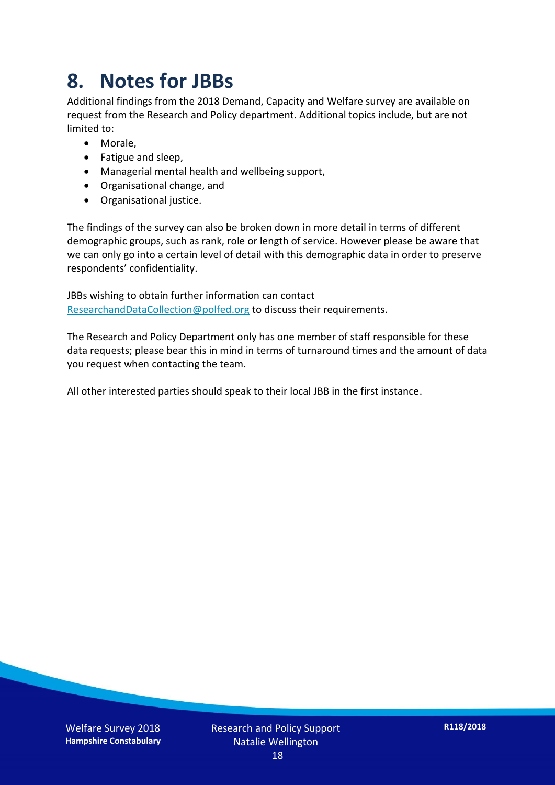### **8. Notes for JBBs**

Additional findings from the 2018 Demand, Capacity and Welfare survey are available on request from the Research and Policy department. Additional topics include, but are not limited to:

- Morale,
- Fatigue and sleep,
- Managerial mental health and wellbeing support,
- Organisational change, and
- Organisational justice.

The findings of the survey can also be broken down in more detail in terms of different demographic groups, such as rank, role or length of service. However please be aware that we can only go into a certain level of detail with this demographic data in order to preserve respondents' confidentiality.

JBBs wishing to obtain further information can contact [ResearchandDataCollection@polfed.org](mailto:ResearchandDataCollection@polfed.org) to discuss their requirements.

The Research and Policy Department only has one member of staff responsible for these data requests; please bear this in mind in terms of turnaround times and the amount of data you request when contacting the team.

All other interested parties should speak to their local JBB in the first instance.